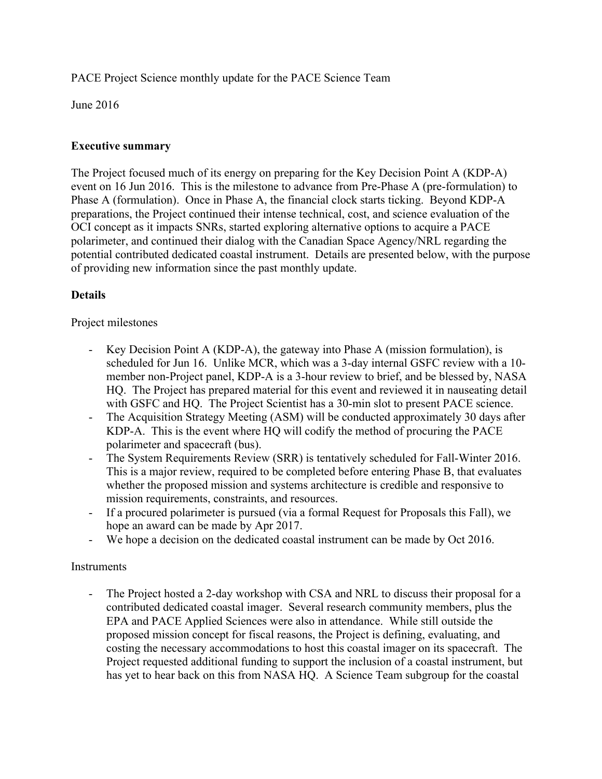PACE Project Science monthly update for the PACE Science Team

June 2016

## **Executive summary**

The Project focused much of its energy on preparing for the Key Decision Point A (KDP-A) event on 16 Jun 2016. This is the milestone to advance from Pre-Phase A (pre-formulation) to Phase A (formulation). Once in Phase A, the financial clock starts ticking. Beyond KDP-A preparations, the Project continued their intense technical, cost, and science evaluation of the OCI concept as it impacts SNRs, started exploring alternative options to acquire a PACE polarimeter, and continued their dialog with the Canadian Space Agency/NRL regarding the potential contributed dedicated coastal instrument. Details are presented below, with the purpose of providing new information since the past monthly update.

# **Details**

### Project milestones

- Key Decision Point A (KDP-A), the gateway into Phase A (mission formulation), is scheduled for Jun 16. Unlike MCR, which was a 3-day internal GSFC review with a 10 member non-Project panel, KDP-A is a 3-hour review to brief, and be blessed by, NASA HQ. The Project has prepared material for this event and reviewed it in nauseating detail with GSFC and HQ. The Project Scientist has a 30-min slot to present PACE science.
- The Acquisition Strategy Meeting (ASM) will be conducted approximately 30 days after KDP-A. This is the event where HQ will codify the method of procuring the PACE polarimeter and spacecraft (bus).
- The System Requirements Review (SRR) is tentatively scheduled for Fall-Winter 2016. This is a major review, required to be completed before entering Phase B, that evaluates whether the proposed mission and systems architecture is credible and responsive to mission requirements, constraints, and resources.
- If a procured polarimeter is pursued (via a formal Request for Proposals this Fall), we hope an award can be made by Apr 2017.
- We hope a decision on the dedicated coastal instrument can be made by Oct 2016.

## **Instruments**

- The Project hosted a 2-day workshop with CSA and NRL to discuss their proposal for a contributed dedicated coastal imager. Several research community members, plus the EPA and PACE Applied Sciences were also in attendance. While still outside the proposed mission concept for fiscal reasons, the Project is defining, evaluating, and costing the necessary accommodations to host this coastal imager on its spacecraft. The Project requested additional funding to support the inclusion of a coastal instrument, but has yet to hear back on this from NASA HQ. A Science Team subgroup for the coastal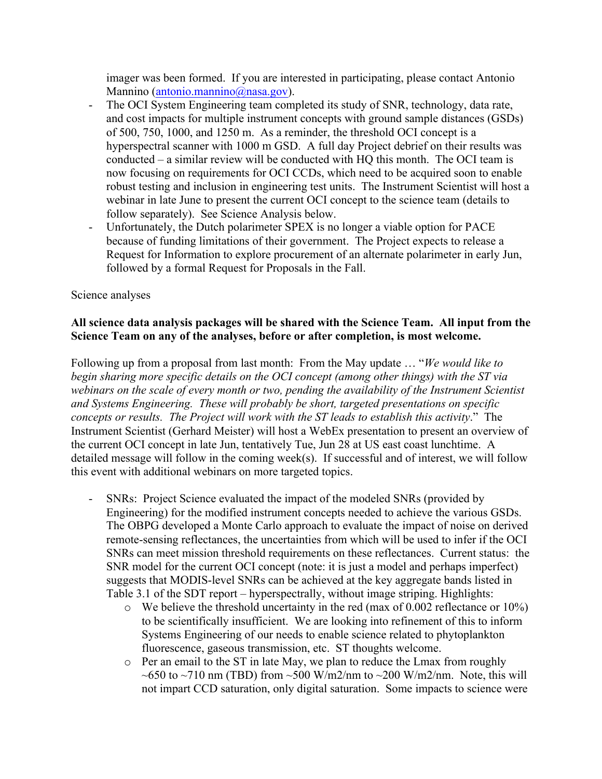imager was been formed. If you are interested in participating, please contact Antonio Mannino (antonio.mannino@nasa.gov).

- The OCI System Engineering team completed its study of SNR, technology, data rate, and cost impacts for multiple instrument concepts with ground sample distances (GSDs) of 500, 750, 1000, and 1250 m. As a reminder, the threshold OCI concept is a hyperspectral scanner with 1000 m GSD. A full day Project debrief on their results was conducted – a similar review will be conducted with HQ this month. The OCI team is now focusing on requirements for OCI CCDs, which need to be acquired soon to enable robust testing and inclusion in engineering test units. The Instrument Scientist will host a webinar in late June to present the current OCI concept to the science team (details to follow separately). See Science Analysis below.
- Unfortunately, the Dutch polarimeter SPEX is no longer a viable option for PACE because of funding limitations of their government. The Project expects to release a Request for Information to explore procurement of an alternate polarimeter in early Jun, followed by a formal Request for Proposals in the Fall.

#### Science analyses

### **All science data analysis packages will be shared with the Science Team. All input from the Science Team on any of the analyses, before or after completion, is most welcome.**

Following up from a proposal from last month: From the May update … "*We would like to begin sharing more specific details on the OCI concept (among other things) with the ST via webinars on the scale of every month or two, pending the availability of the Instrument Scientist and Systems Engineering. These will probably be short, targeted presentations on specific concepts or results. The Project will work with the ST leads to establish this activity*." The Instrument Scientist (Gerhard Meister) will host a WebEx presentation to present an overview of the current OCI concept in late Jun, tentatively Tue, Jun 28 at US east coast lunchtime. A detailed message will follow in the coming week(s). If successful and of interest, we will follow this event with additional webinars on more targeted topics.

- SNRs: Project Science evaluated the impact of the modeled SNRs (provided by Engineering) for the modified instrument concepts needed to achieve the various GSDs. The OBPG developed a Monte Carlo approach to evaluate the impact of noise on derived remote-sensing reflectances, the uncertainties from which will be used to infer if the OCI SNRs can meet mission threshold requirements on these reflectances. Current status: the SNR model for the current OCI concept (note: it is just a model and perhaps imperfect) suggests that MODIS-level SNRs can be achieved at the key aggregate bands listed in Table 3.1 of the SDT report – hyperspectrally, without image striping. Highlights:
	- o We believe the threshold uncertainty in the red (max of 0.002 reflectance or 10%) to be scientifically insufficient. We are looking into refinement of this to inform Systems Engineering of our needs to enable science related to phytoplankton fluorescence, gaseous transmission, etc. ST thoughts welcome.
	- o Per an email to the ST in late May, we plan to reduce the Lmax from roughly ~650 to ~710 nm (TBD) from ~500 W/m2/nm to ~200 W/m2/nm. Note, this will not impart CCD saturation, only digital saturation. Some impacts to science were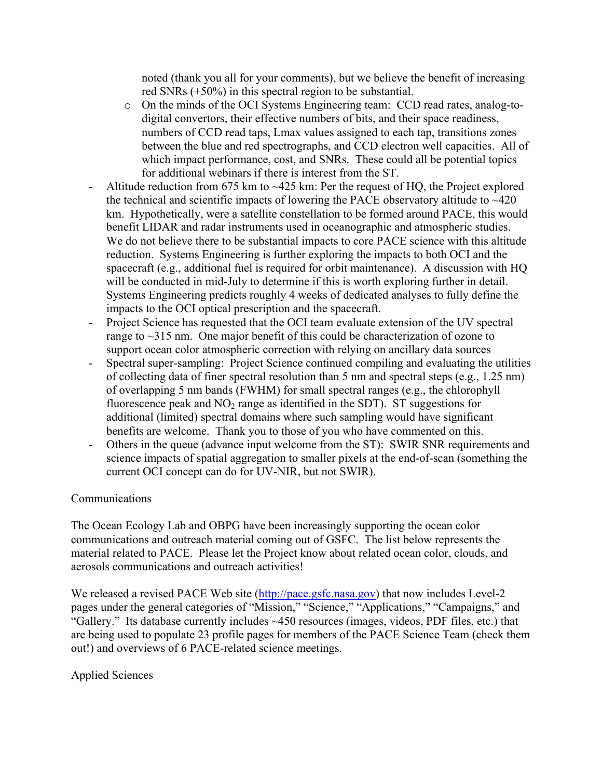noted (thank you all for your comments), but we believe the benefit of increasing red SNRs (+50%) in this spectral region to be substantial.

- o On the minds of the OCI Systems Engineering team: CCD read rates, analog-todigital convertors, their effective numbers of bits, and their space readiness, numbers of CCD read taps, Lmax values assigned to each tap, transitions zones between the blue and red spectrographs, and CCD electron well capacities. All of which impact performance, cost, and SNRs. These could all be potential topics for additional webinars if there is interest from the ST.
- Altitude reduction from 675 km to  $\sim$ 425 km: Per the request of HQ, the Project explored the technical and scientific impacts of lowering the PACE observatory altitude to  $\sim$ 420 km. Hypothetically, were a satellite constellation to be formed around PACE, this would benefit LIDAR and radar instruments used in oceanographic and atmospheric studies. We do not believe there to be substantial impacts to core PACE science with this altitude reduction. Systems Engineering is further exploring the impacts to both OCI and the spacecraft (e.g., additional fuel is required for orbit maintenance). A discussion with HQ will be conducted in mid-July to determine if this is worth exploring further in detail. Systems Engineering predicts roughly 4 weeks of dedicated analyses to fully define the impacts to the OCI optical prescription and the spacecraft.
- Project Science has requested that the OCI team evaluate extension of the UV spectral range to ~315 nm. One major benefit of this could be characterization of ozone to support ocean color atmospheric correction with relying on ancillary data sources
- Spectral super-sampling: Project Science continued compiling and evaluating the utilities of collecting data of finer spectral resolution than 5 nm and spectral steps (e.g., 1.25 nm) of overlapping 5 nm bands (FWHM) for small spectral ranges (e.g., the chlorophyll fluorescence peak and  $NO<sub>2</sub>$  range as identified in the SDT). ST suggestions for additional (limited) spectral domains where such sampling would have significant benefits are welcome. Thank you to those of you who have commented on this.
- Others in the queue (advance input welcome from the ST): SWIR SNR requirements and science impacts of spatial aggregation to smaller pixels at the end-of-scan (something the current OCI concept can do for UV-NIR, but not SWIR).

## Communications

The Ocean Ecology Lab and OBPG have been increasingly supporting the ocean color communications and outreach material coming out of GSFC. The list below represents the material related to PACE. Please let the Project know about related ocean color, clouds, and aerosols communications and outreach activities!

We released a revised PACE Web site (http://pace.gsfc.nasa.gov) that now includes Level-2 pages under the general categories of "Mission," "Science," "Applications," "Campaigns," and "Gallery." Its database currently includes ~450 resources (images, videos, PDF files, etc.) that are being used to populate 23 profile pages for members of the PACE Science Team (check them out!) and overviews of 6 PACE-related science meetings.

# Applied Sciences